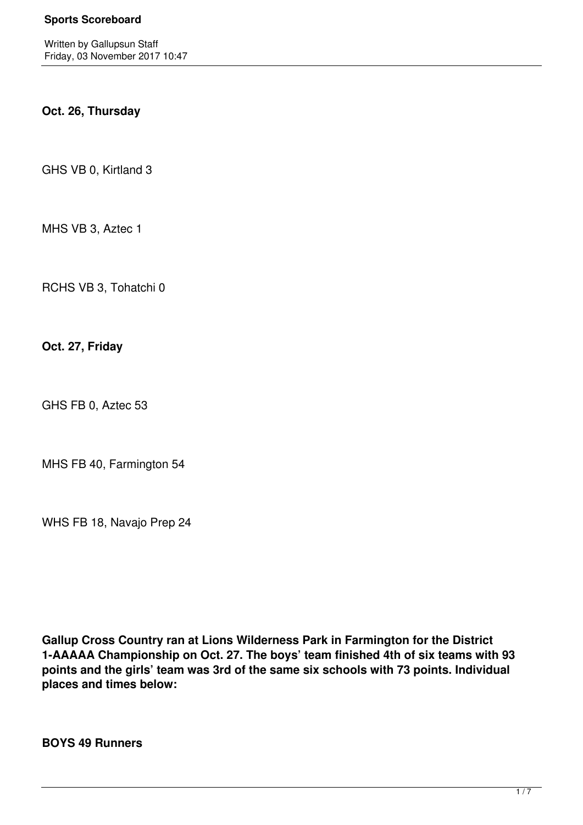Written by Gallupsun Staff Friday, 03 November 2017 10:47

# **Oct. 26, Thursday**

GHS VB 0, Kirtland 3

MHS VB 3, Aztec 1

RCHS VB 3, Tohatchi 0

**Oct. 27, Friday**

GHS FB 0, Aztec 53

MHS FB 40, Farmington 54

WHS FB 18, Navajo Prep 24

**Gallup Cross Country ran at Lions Wilderness Park in Farmington for the District 1-AAAAA Championship on Oct. 27. The boys' team finished 4th of six teams with 93 points and the girls' team was 3rd of the same six schools with 73 points. Individual places and times below:**

**BOYS 49 Runners**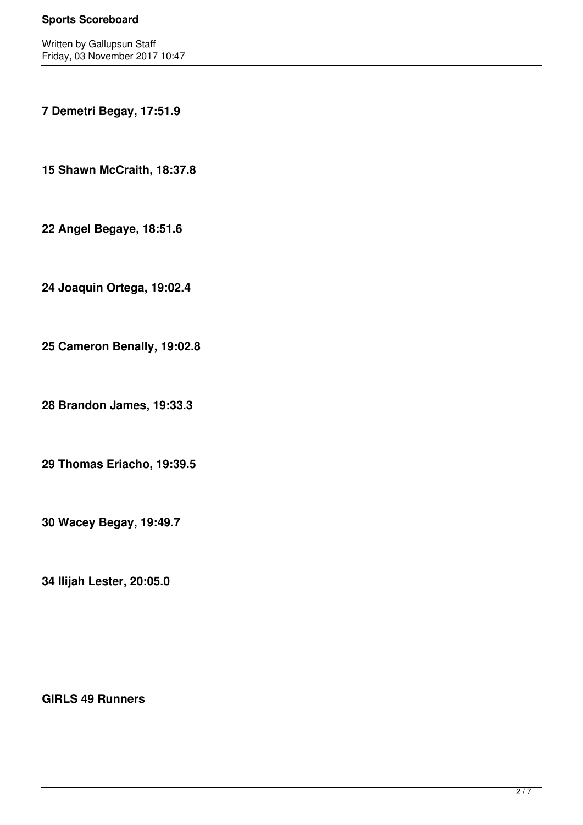Written by Gallupsun Staff Friday, 03 November 2017 10:47

**7 Demetri Begay, 17:51.9**

**15 Shawn McCraith, 18:37.8**

**22 Angel Begaye, 18:51.6**

**24 Joaquin Ortega, 19:02.4**

**25 Cameron Benally, 19:02.8**

**28 Brandon James, 19:33.3**

**29 Thomas Eriacho, 19:39.5**

**30 Wacey Begay, 19:49.7**

**34 Ilijah Lester, 20:05.0**

**GIRLS 49 Runners**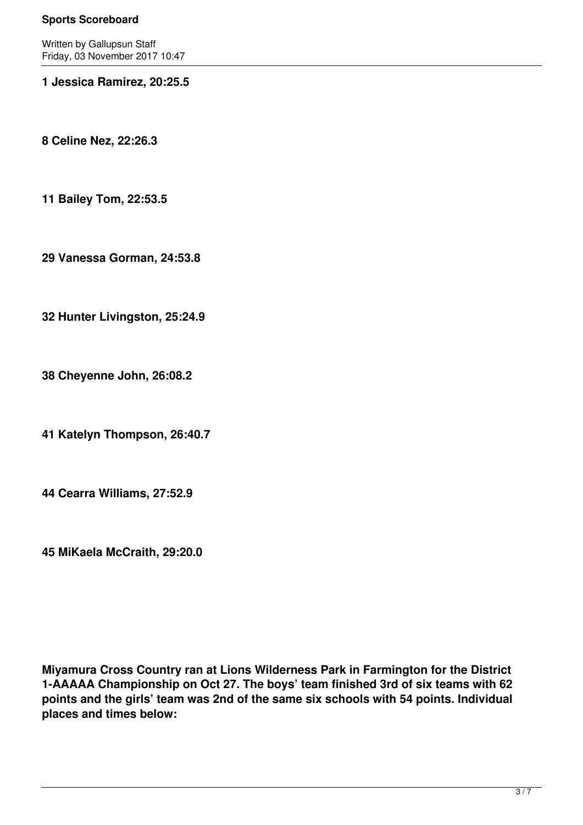Written by Gallupsun Staff Friday, 03 November 2017 10:47

### **1 Jessica Ramirez, 20:25.5**

**8 Celine Nez, 22:26.3**

**11 Bailey Tom, 22:53.5**

**29 Vanessa Gorman, 24:53.8**

**32 Hunter Livingston, 25:24.9**

**38 Cheyenne John, 26:08.2**

**41 Katelyn Thompson, 26:40.7**

**44 Cearra Williams, 27:52.9**

**45 MiKaela McCraith, 29:20.0**

**Miyamura Cross Country ran at Lions Wilderness Park in Farmington for the District 1-AAAAA Championship on Oct 27. The boys' team finished 3rd of six teams with 62 points and the girls' team was 2nd of the same six schools with 54 points. Individual places and times below:**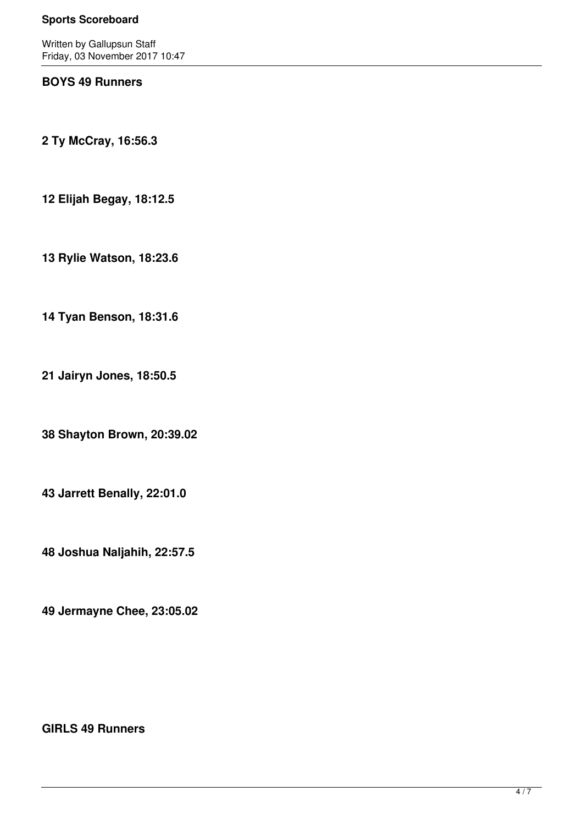Written by Gallupsun Staff Friday, 03 November 2017 10:47

## **BOYS 49 Runners**

**2 Ty McCray, 16:56.3**

**12 Elijah Begay, 18:12.5**

**13 Rylie Watson, 18:23.6**

**14 Tyan Benson, 18:31.6**

**21 Jairyn Jones, 18:50.5**

**38 Shayton Brown, 20:39.02**

**43 Jarrett Benally, 22:01.0**

**48 Joshua Naljahih, 22:57.5**

**49 Jermayne Chee, 23:05.02**

## **GIRLS 49 Runners**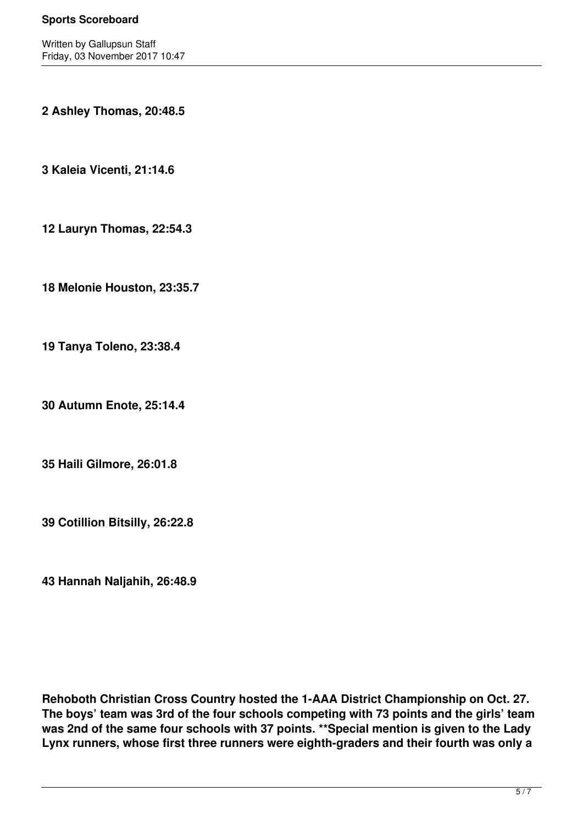Written by Gallupsun Staff Friday, 03 November 2017 10:47

**2 Ashley Thomas, 20:48.5**

**3 Kaleia Vicenti, 21:14.6**

**12 Lauryn Thomas, 22:54.3**

**18 Melonie Houston, 23:35.7**

**19 Tanya Toleno, 23:38.4**

**30 Autumn Enote, 25:14.4**

**35 Haili Gilmore, 26:01.8**

**39 Cotillion Bitsilly, 26:22.8**

**43 Hannah Naljahih, 26:48.9**

**Rehoboth Christian Cross Country hosted the 1-AAA District Championship on Oct. 27. The boys' team was 3rd of the four schools competing with 73 points and the girls' team was 2nd of the same four schools with 37 points. \*\*Special mention is given to the Lady Lynx runners, whose first three runners were eighth-graders and their fourth was only a**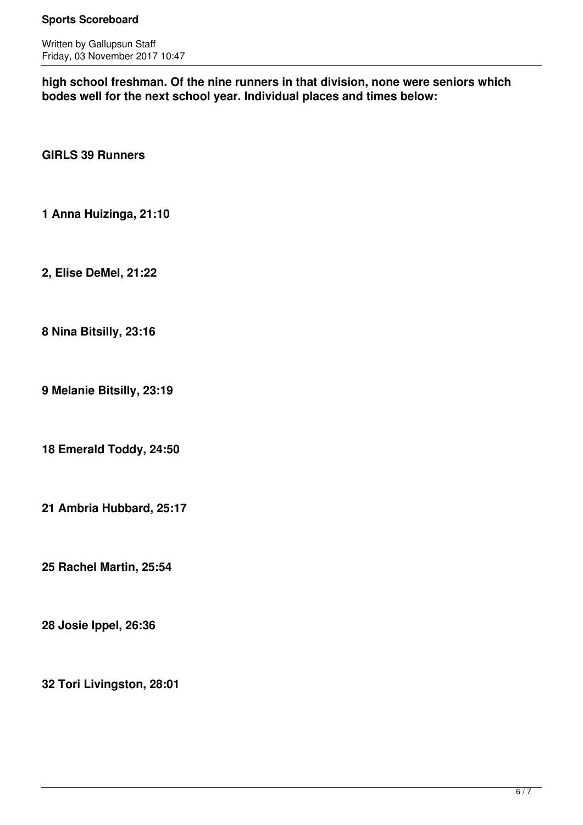Written by Gallupsun Staff Friday, 03 November 2017 10:47

**high school freshman. Of the nine runners in that division, none were seniors which bodes well for the next school year. Individual places and times below:**

**GIRLS 39 Runners**

**1 Anna Huizinga, 21:10**

**2, Elise DeMel, 21:22**

**8 Nina Bitsilly, 23:16**

**9 Melanie Bitsilly, 23:19**

**18 Emerald Toddy, 24:50**

**21 Ambria Hubbard, 25:17**

**25 Rachel Martin, 25:54**

**28 Josie Ippel, 26:36**

**32 Tori Livingston, 28:01**